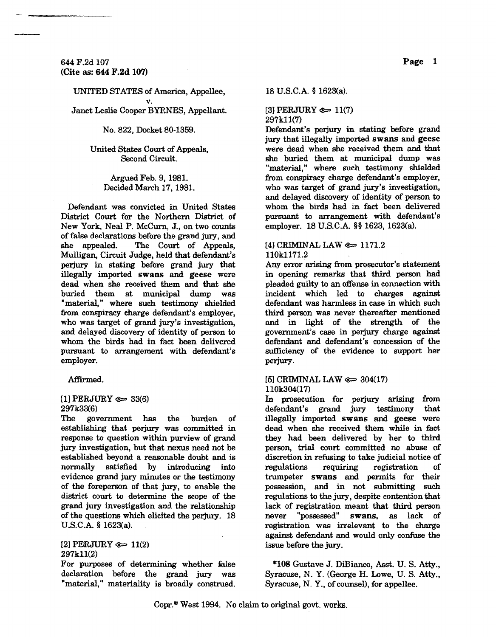644 F.2d 107 (Cite as: 644 F.2d 107)

UNITED STATES of America, Appellee,

v. Janet Leslie Cooper BYRNES, Appellant.

No. 822, Docket 80-1359.

## United States Court of Appeals, Second Circuit.

Argued Feb. 9, 1981. Decided March 17,1981.

Defendant was convicted in United States District Court for the Northem District of New York, Neal P. MeCum, J., on two counts of false declarations before the grand jury, and she appealed. The Court of Appeals, Mulligan, Circuit Judge, held that defendant's perjury in stating before grand jury that illegally imported swans and geese were dead when she received them and that she buried them at municipal dump was "material," where such testimony shielded from conspiracy charge defendant's employer, who was target of grand jury's investigation, and delayed discovery of identity of person to whom the birds had in fact been delivered pursuant to arrangement with defendant's employer.

Affirmed.

## $[1]$  PERJURY  $\textcircled{s}$  33(6) 297k33(6)

The government has the burden of establishing that perjury was committed in response to question within purview of grand jury investigation, but that nexus need not be established beyond a reasonable doubt and is normally satisfied by introducing into evidence grand jury minutes or the testimony of the foreperson of that jury, to enable the district court to determine the scope of the grand jury investigation and the relationship of the questions which elicited the perjury. 18 U.S.C.A. § 1623(a).

[2] PERJURY  $\epsilon \approx 11(2)$ 297k11(2)

For purposes of determining whether false declaration before the grand jury was "material," materiality is broadly construed.

18 U.S.C.A. § 1623(a).

 $[3]$  PERJURY  $\iff$  11(7) 297k11(7)

Defendant's perjury in stating before grand jury that illegally imported swans and geese were dead when she received them and that she buried them at municipal dump was "material," where such testimony shielded from conspiracy charge defendant's employer, who was target of grand jury's investigation, and delayed discovery of identity of person to whom the birds had in fact been delivered pursuant to arrangement with defendant's employer. 18 U.S.C.A. §§ 1623, 1623(a).

#### $[4]$  CRIMINAL LAW  $\approx 1171.2$ 1l0k1171.2

Any error arising from prosecutor's statement in opening remarks that third person had pleaded guilty to an offense in connection with incident which led to charges against defendant was harmless in case in which such third person was never thereafter mentioned and in light of the strength of the government's case in perjury charge against defendant and defendant's concession of the sufficiency of the evidence to support her perjury.

## [5] CRIMINAL LAW  $\approx$  304(17) 110k304(17)

In prosecution for perjury arising from defendant's grand jury testimony that illegally imported swans and geese were dead when she received them while in fact they had been delivered by her to third person, trial court committed no abuse of discretion in refusing to take judicial notice of regulations requiring registration of trumpeter swans and permits for their possession, and in not submitting such regulations to the jury, despite contention that lack of registration meant that third person<br>never "possessed" swans, as lack of never "possessed" swans, as lack of registration was irrelevant to the charge against defendant and would only confuse the issue before the jury.

\*108 Gustave J. DiBianco, Asst. U. S. Atty., Syracuse, N. Y. (George H. Lowe, U. S. Atty., Syracuse, N. Y., of counsel), for appellee.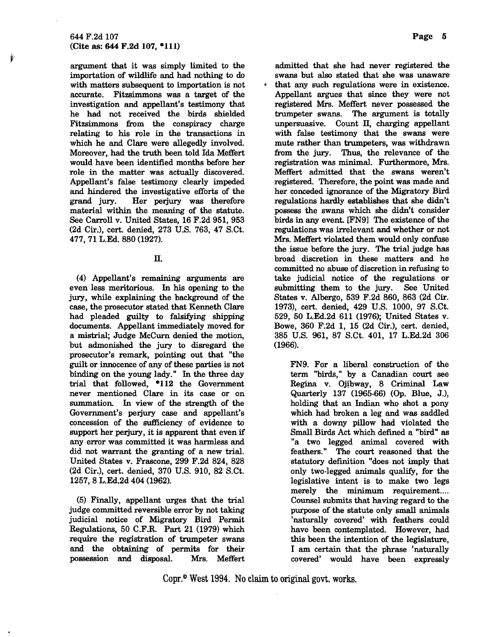argument that it was simply limited to the importation of wildlife and had nothing to do with matters subsequent to importation is not accurate. Fitzsimmons was a target of the investigation and appellant's testimony that he had not received the birds shielded Fitzsimmons from the conspiracy charge relating to his role in the transactions in which he and Clare were allegedly involved. Moreover, had the truth been told Ida Meffert would have been identified months before her role in the matter was actually discovered. Appellant's false testimony clearly impeded and hindered the investigative efforts of the grand jury. Her perjury was therefore material within the meaning of the statute. See Carroll v. United States, 16 F.2d 951, 953 (2d Cir.), cert. denied, 273 U.S. 763, 47 S.Ct. 477, 71 L.Ed. 880 (1927).

# II.

(4) Appellant's remaining arguments are even less meritorious. In his opening to the jury, while explaining the background of the case, the prosecutor stated that Kenneth Clare had pleaded guilty to falsifying shipping documents. Appellant immediately moved for a mistrial; Judge McCum denied the motion, but admonished the jury to disregard the prosecutor's remark, pointing out that "the guilt or innocence of any of these parties is not binding on the young lady." In the three day trial that followed, \*112 the Government never mentioned Clare in its case or on summation. In view of the strength of the Government's perjury case and appellant's concession of the sufficiency of evidence to support her perjury, it is apparent that even if any error was committed it was harmless and did not warrant the granting of a new trial. United States v. Frascone, 299 F.2d 824, 828 (2d Cir.), cert. denied, 370 U.S. 910, 82 S.Ct. 1257,8 L.Ed.2d 404 (1962).

(5) Finally, appellant urges that the trial judge committed reversible error by not taking judicial notice of Migratory Bird Permit Regulations, 50 C.F.R. Part 21 (1979) which require the registration of trumpeter swans and the obtaining of permits for their possession and disposal. Mrs. Meffert

admitted that she had never registered the swans but also stated that she was unaware that any such regulations were in existence. Appellant argues that since they were not registered Mrs. Meffert never possessed the trumpeter swans. The argument is totally unpersuasive. Count II, charging appellant with false testimony that the swans were mute rather than trumpeters, was withdrawn from the jury. Thus, the relevance of the registration was minimal. Furthermore, Mrs. Meffert admitted that the swans weren't registered. Therefore, the point was made and her conceded ignorance of the Migratory Bird regulations hardly establishes that she didn't possess the swans which she didn't consider birds in any event. [FN9l The existence of the regulations was irrelevant and whether or not Mrs. Meffert violated them would only confuse the issue before the jury. The trial judge has broad discretion in these matters and he committed no abuse of discretion in refusing to take judicial notice of the regulations or submitting them to the jury. See United States v. Albergo, 539 F.2d 860, 863 (2d Cir. 1973), cert. denied, 429 U.S. 1000, 97 S.Ct. 529, 50 L.Ed.2d 611 (1976); United States v. Bowe, 360 F.2d 1, 15 (2d Cir.), cert. denied, 385 U.S. 961, 87 S.Ct. 401, 17 L.Ed.2d 306 (1966).

FN9. For a liberal construction of the term "birds," by a Canadian court see Regina v. Ojibway, 8 Criminal Law Quarterly 137 (1965-66) (Op. Blue, J.), holding that an Indian who shot a pony which had broken a leg and was saddled with a downy pillow had violated the Small Birds Act which defined a "bird" as "a two legged animal covered with feathers. " The court reasoned that the statutory definition "does not imply that only two-legged animals qualify, for the legislative intent is to make two legs merely the minimum requirement.... Counsel submits that having regard to the purpose of the statute only small animals 'naturally covered' with feathers could have been contemplated. However, had this been the intention of the legislature, I am certain that the phrase 'naturally covered' would have been expressly

Copr.<sup>®</sup> West 1994. No claim to original govt. works.